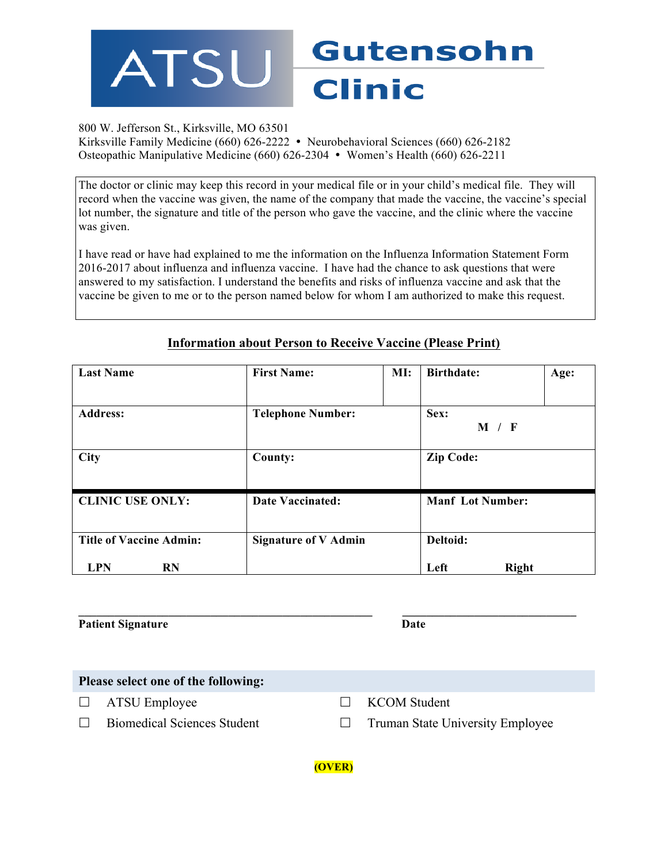

## 800 W. Jefferson St., Kirksville, MO 63501

Kirksville Family Medicine (660) 626-2222 • Neurobehavioral Sciences (660) 626-2182 Osteopathic Manipulative Medicine (660) 626-2304 • Women's Health (660) 626-2211

The doctor or clinic may keep this record in your medical file or in your child's medical file. They will record when the vaccine was given, the name of the company that made the vaccine, the vaccine's special lot number, the signature and title of the person who gave the vaccine, and the clinic where the vaccine was given.

I have read or have had explained to me the information on the Influenza Information Statement Form 2016-2017 about influenza and influenza vaccine. I have had the chance to ask questions that were answered to my satisfaction. I understand the benefits and risks of influenza vaccine and ask that the vaccine be given to me or to the person named below for whom I am authorized to make this request.

| <b>Last Name</b>               | <b>First Name:</b>          | MI: | <b>Birthdate:</b>       | Age:             |  |  |
|--------------------------------|-----------------------------|-----|-------------------------|------------------|--|--|
|                                |                             |     |                         |                  |  |  |
| <b>Address:</b>                | <b>Telephone Number:</b>    |     |                         | Sex:             |  |  |
|                                |                             |     | M / F                   |                  |  |  |
| <b>City</b>                    | County:                     |     |                         | <b>Zip Code:</b> |  |  |
|                                |                             |     |                         |                  |  |  |
| <b>CLINIC USE ONLY:</b>        | <b>Date Vaccinated:</b>     |     | <b>Manf</b> Lot Number: |                  |  |  |
|                                |                             |     |                         |                  |  |  |
| <b>Title of Vaccine Admin:</b> | <b>Signature of V Admin</b> |     |                         | Deltoid:         |  |  |
| <b>LPN</b><br><b>RN</b>        |                             |     | Left<br><b>Right</b>    |                  |  |  |

## **Information about Person to Receive Vaccine (Please Print)**

| <b>Patient Signature</b> | Date |
|--------------------------|------|

| Please select one of the following: |                                    |  |                                         |  |  |  |  |
|-------------------------------------|------------------------------------|--|-----------------------------------------|--|--|--|--|
|                                     | $\Box$ ATSU Employee               |  | $\Box$ KCOM Student                     |  |  |  |  |
|                                     | <b>Biomedical Sciences Student</b> |  | <b>Truman State University Employee</b> |  |  |  |  |

**(OVER)**